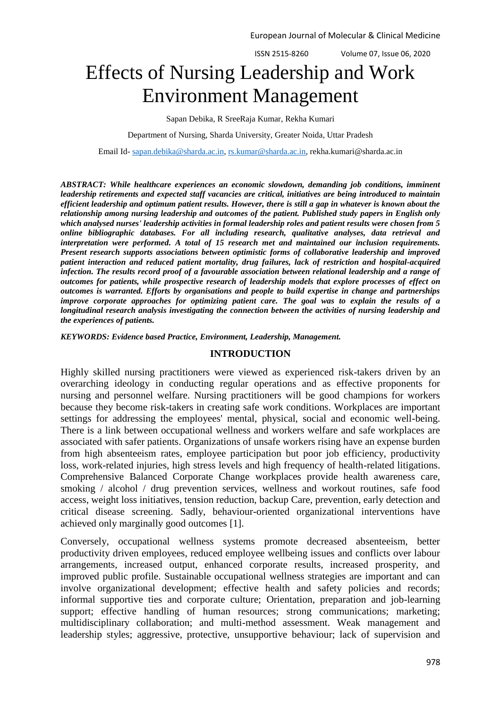ISSN 2515-8260 Volume 07, Issue 06, 2020

# Effects of Nursing Leadership and Work Environment Management

Sapan Debika, R SreeRaja Kumar, Rekha Kumari

Department of Nursing, Sharda University, Greater Noida, Uttar Pradesh

Email Id- [sapan.debika@sharda.ac.in,](mailto:sapan.debika@sharda.ac.in) [rs.kumar@sharda.ac.in,](mailto:rs.kumar@sharda.ac.in) rekha.kumari@sharda.ac.in

*ABSTRACT: While healthcare experiences an economic slowdown, demanding job conditions, imminent leadership retirements and expected staff vacancies are critical, initiatives are being introduced to maintain efficient leadership and optimum patient results. However, there is still a gap in whatever is known about the relationship among nursing leadership and outcomes of the patient. Published study papers in English only which analysed nurses' leadership activities in formal leadership roles and patient results were chosen from 5 online bibliographic databases. For all including research, qualitative analyses, data retrieval and interpretation were performed. A total of 15 research met and maintained our inclusion requirements. Present research supports associations between optimistic forms of collaborative leadership and improved patient interaction and reduced patient mortality, drug failures, lack of restriction and hospital-acquired infection. The results record proof of a favourable association between relational leadership and a range of outcomes for patients, while prospective research of leadership models that explore processes of effect on outcomes is warranted. Efforts by organisations and people to build expertise in change and partnerships improve corporate approaches for optimizing patient care. The goal was to explain the results of a longitudinal research analysis investigating the connection between the activities of nursing leadership and the experiences of patients.*

*KEYWORDS: Evidence based Practice, Environment, Leadership, Management.*

#### **INTRODUCTION**

Highly skilled nursing practitioners were viewed as experienced risk-takers driven by an overarching ideology in conducting regular operations and as effective proponents for nursing and personnel welfare. Nursing practitioners will be good champions for workers because they become risk-takers in creating safe work conditions. Workplaces are important settings for addressing the employees' mental, physical, social and economic well-being. There is a link between occupational wellness and workers welfare and safe workplaces are associated with safer patients. Organizations of unsafe workers rising have an expense burden from high absenteeism rates, employee participation but poor job efficiency, productivity loss, work-related injuries, high stress levels and high frequency of health-related litigations. Comprehensive Balanced Corporate Change workplaces provide health awareness care, smoking / alcohol / drug prevention services, wellness and workout routines, safe food access, weight loss initiatives, tension reduction, backup Care, prevention, early detection and critical disease screening. Sadly, behaviour-oriented organizational interventions have achieved only marginally good outcomes [1].

Conversely, occupational wellness systems promote decreased absenteeism, better productivity driven employees, reduced employee wellbeing issues and conflicts over labour arrangements, increased output, enhanced corporate results, increased prosperity, and improved public profile. Sustainable occupational wellness strategies are important and can involve organizational development; effective health and safety policies and records; informal supportive ties and corporate culture; Orientation, preparation and job-learning support; effective handling of human resources; strong communications; marketing; multidisciplinary collaboration; and multi-method assessment. Weak management and leadership styles; aggressive, protective, unsupportive behaviour; lack of supervision and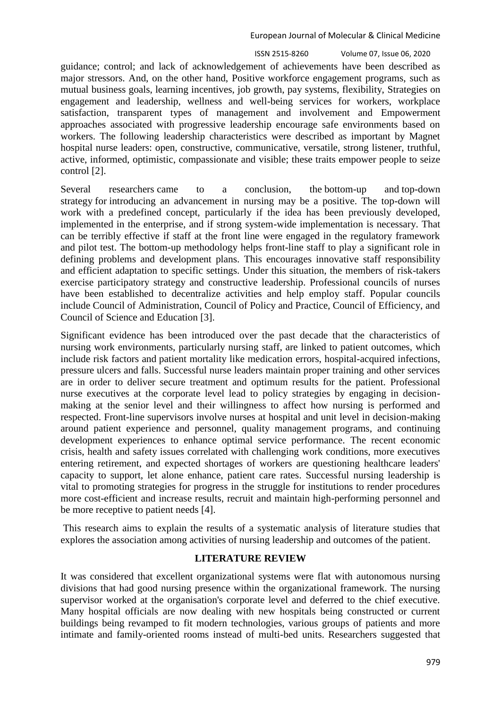guidance; control; and lack of acknowledgement of achievements have been described as major stressors. And, on the other hand, Positive workforce engagement programs, such as mutual business goals, learning incentives, job growth, pay systems, flexibility, Strategies on engagement and leadership, wellness and well-being services for workers, workplace satisfaction, transparent types of management and involvement and Empowerment approaches associated with progressive leadership encourage safe environments based on workers. The following leadership characteristics were described as important by Magnet hospital nurse leaders: open, constructive, communicative, versatile, strong listener, truthful, active, informed, optimistic, compassionate and visible; these traits empower people to seize control [2].

Several researchers came to a conclusion, the bottom-up and top-down strategy for introducing an advancement in nursing may be a positive. The top-down will work with a predefined concept, particularly if the idea has been previously developed, implemented in the enterprise, and if strong system-wide implementation is necessary. That can be terribly effective if staff at the front line were engaged in the regulatory framework and pilot test. The bottom-up methodology helps front-line staff to play a significant role in defining problems and development plans. This encourages innovative staff responsibility and efficient adaptation to specific settings. Under this situation, the members of risk-takers exercise participatory strategy and constructive leadership. Professional councils of nurses have been established to decentralize activities and help employ staff. Popular councils include Council of Administration, Council of Policy and Practice, Council of Efficiency, and Council of Science and Education [3].

Significant evidence has been introduced over the past decade that the characteristics of nursing work environments, particularly nursing staff, are linked to patient outcomes, which include risk factors and patient mortality like medication errors, hospital-acquired infections, pressure ulcers and falls. Successful nurse leaders maintain proper training and other services are in order to deliver secure treatment and optimum results for the patient. Professional nurse executives at the corporate level lead to policy strategies by engaging in decisionmaking at the senior level and their willingness to affect how nursing is performed and respected. Front-line supervisors involve nurses at hospital and unit level in decision-making around patient experience and personnel, quality management programs, and continuing development experiences to enhance optimal service performance. The recent economic crisis, health and safety issues correlated with challenging work conditions, more executives entering retirement, and expected shortages of workers are questioning healthcare leaders' capacity to support, let alone enhance, patient care rates. Successful nursing leadership is vital to promoting strategies for progress in the struggle for institutions to render procedures more cost-efficient and increase results, recruit and maintain high-performing personnel and be more receptive to patient needs [4].

This research aims to explain the results of a systematic analysis of literature studies that explores the association among activities of nursing leadership and outcomes of the patient.

## **LITERATURE REVIEW**

It was considered that excellent organizational systems were flat with autonomous nursing divisions that had good nursing presence within the organizational framework. The nursing supervisor worked at the organisation's corporate level and deferred to the chief executive. Many hospital officials are now dealing with new hospitals being constructed or current buildings being revamped to fit modern technologies, various groups of patients and more intimate and family-oriented rooms instead of multi-bed units. Researchers suggested that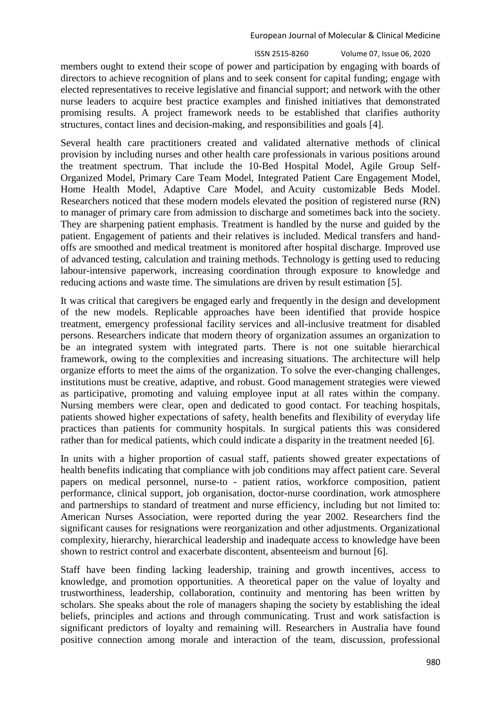ISSN 2515-8260 Volume 07, Issue 06, 2020

members ought to extend their scope of power and participation by engaging with boards of directors to achieve recognition of plans and to seek consent for capital funding; engage with elected representatives to receive legislative and financial support; and network with the other nurse leaders to acquire best practice examples and finished initiatives that demonstrated promising results. A project framework needs to be established that clarifies authority structures, contact lines and decision-making, and responsibilities and goals [4].

Several health care practitioners created and validated alternative methods of clinical provision by including nurses and other health care professionals in various positions around the treatment spectrum. That include the 10-Bed Hospital Model, Agile Group Self-Organized Model, Primary Care Team Model, Integrated Patient Care Engagement Model, Home Health Model, Adaptive Care Model, and Acuity customizable Beds Model. Researchers noticed that these modern models elevated the position of registered nurse (RN) to manager of primary care from admission to discharge and sometimes back into the society. They are sharpening patient emphasis. Treatment is handled by the nurse and guided by the patient. Engagement of patients and their relatives is included. Medical transfers and handoffs are smoothed and medical treatment is monitored after hospital discharge. Improved use of advanced testing, calculation and training methods. Technology is getting used to reducing labour-intensive paperwork, increasing coordination through exposure to knowledge and reducing actions and waste time. The simulations are driven by result estimation [5].

It was critical that caregivers be engaged early and frequently in the design and development of the new models. Replicable approaches have been identified that provide hospice treatment, emergency professional facility services and all-inclusive treatment for disabled persons. Researchers indicate that modern theory of organization assumes an organization to be an integrated system with integrated parts. There is not one suitable hierarchical framework, owing to the complexities and increasing situations. The architecture will help organize efforts to meet the aims of the organization. To solve the ever-changing challenges, institutions must be creative, adaptive, and robust. Good management strategies were viewed as participative, promoting and valuing employee input at all rates within the company. Nursing members were clear, open and dedicated to good contact. For teaching hospitals, patients showed higher expectations of safety, health benefits and flexibility of everyday life practices than patients for community hospitals. In surgical patients this was considered rather than for medical patients, which could indicate a disparity in the treatment needed [6].

In units with a higher proportion of casual staff, patients showed greater expectations of health benefits indicating that compliance with job conditions may affect patient care. Several papers on medical personnel, nurse-to - patient ratios, workforce composition, patient performance, clinical support, job organisation, doctor-nurse coordination, work atmosphere and partnerships to standard of treatment and nurse efficiency, including but not limited to: American Nurses Association, were reported during the year 2002. Researchers find the significant causes for resignations were reorganization and other adjustments. Organizational complexity, hierarchy, hierarchical leadership and inadequate access to knowledge have been shown to restrict control and exacerbate discontent, absenteeism and burnout [6].

Staff have been finding lacking leadership, training and growth incentives, access to knowledge, and promotion opportunities. A theoretical paper on the value of loyalty and trustworthiness, leadership, collaboration, continuity and mentoring has been written by scholars. She speaks about the role of managers shaping the society by establishing the ideal beliefs, principles and actions and through communicating. Trust and work satisfaction is significant predictors of loyalty and remaining will. Researchers in Australia have found positive connection among morale and interaction of the team, discussion, professional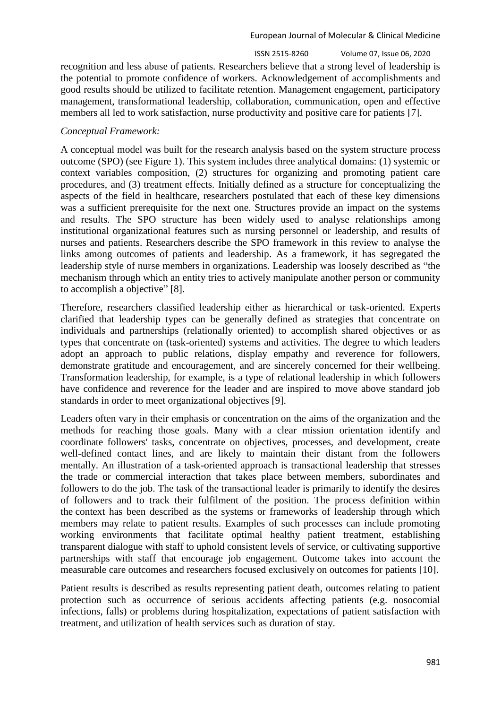recognition and less abuse of patients. Researchers believe that a strong level of leadership is the potential to promote confidence of workers. Acknowledgement of accomplishments and good results should be utilized to facilitate retention. Management engagement, participatory management, transformational leadership, collaboration, communication, open and effective members all led to work satisfaction, nurse productivity and positive care for patients [7].

## *Conceptual Framework:*

A conceptual model was built for the research analysis based on the system structure process outcome (SPO) (see Figure 1). This system includes three analytical domains: (1) systemic or context variables composition, (2) structures for organizing and promoting patient care procedures, and (3) treatment effects. Initially defined as a structure for conceptualizing the aspects of the field in healthcare, researchers postulated that each of these key dimensions was a sufficient prerequisite for the next one. Structures provide an impact on the systems and results. The SPO structure has been widely used to analyse relationships among institutional organizational features such as nursing personnel or leadership, and results of nurses and patients. Researchers describe the SPO framework in this review to analyse the links among outcomes of patients and leadership. As a framework, it has segregated the leadership style of nurse members in organizations. Leadership was loosely described as "the mechanism through which an entity tries to actively manipulate another person or community to accomplish a objective" [8].

Therefore, researchers classified leadership either as hierarchical or task-oriented. Experts clarified that leadership types can be generally defined as strategies that concentrate on individuals and partnerships (relationally oriented) to accomplish shared objectives or as types that concentrate on (task-oriented) systems and activities. The degree to which leaders adopt an approach to public relations, display empathy and reverence for followers, demonstrate gratitude and encouragement, and are sincerely concerned for their wellbeing. Transformation leadership, for example, is a type of relational leadership in which followers have confidence and reverence for the leader and are inspired to move above standard job standards in order to meet organizational objectives [9].

Leaders often vary in their emphasis or concentration on the aims of the organization and the methods for reaching those goals. Many with a clear mission orientation identify and coordinate followers' tasks, concentrate on objectives, processes, and development, create well-defined contact lines, and are likely to maintain their distant from the followers mentally. An illustration of a task-oriented approach is transactional leadership that stresses the trade or commercial interaction that takes place between members, subordinates and followers to do the job. The task of the transactional leader is primarily to identify the desires of followers and to track their fulfilment of the position. The process definition within the context has been described as the systems or frameworks of leadership through which members may relate to patient results. Examples of such processes can include promoting working environments that facilitate optimal healthy patient treatment, establishing transparent dialogue with staff to uphold consistent levels of service, or cultivating supportive partnerships with staff that encourage job engagement. Outcome takes into account the measurable care outcomes and researchers focused exclusively on outcomes for patients [10].

Patient results is described as results representing patient death, outcomes relating to patient protection such as occurrence of serious accidents affecting patients (e.g. nosocomial infections, falls) or problems during hospitalization, expectations of patient satisfaction with treatment, and utilization of health services such as duration of stay.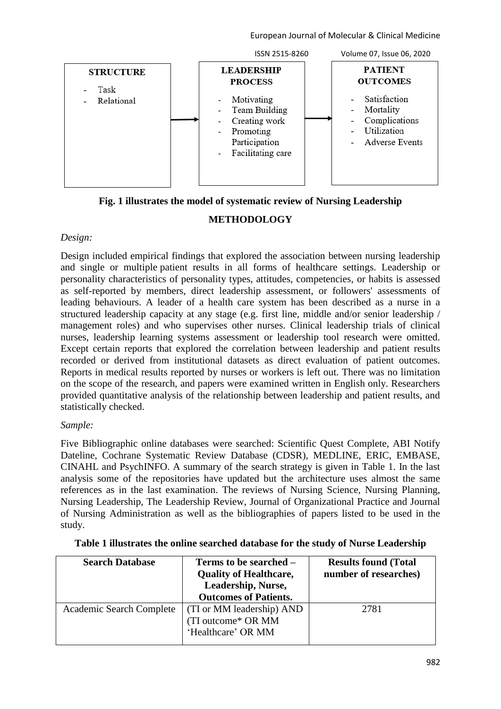

## **Fig. 1 illustrates the model of systematic review of Nursing Leadership**

## **METHODOLOGY**

## *Design:*

Design included empirical findings that explored the association between nursing leadership and single or multiple patient results in all forms of healthcare settings. Leadership or personality characteristics of personality types, attitudes, competencies, or habits is assessed as self-reported by members, direct leadership assessment, or followers' assessments of leading behaviours. A leader of a health care system has been described as a nurse in a structured leadership capacity at any stage (e.g. first line, middle and/or senior leadership / management roles) and who supervises other nurses. Clinical leadership trials of clinical nurses, leadership learning systems assessment or leadership tool research were omitted. Except certain reports that explored the correlation between leadership and patient results recorded or derived from institutional datasets as direct evaluation of patient outcomes. Reports in medical results reported by nurses or workers is left out. There was no limitation on the scope of the research, and papers were examined written in English only. Researchers provided quantitative analysis of the relationship between leadership and patient results, and statistically checked.

## *Sample:*

Five Bibliographic online databases were searched: Scientific Quest Complete, ABI Notify Dateline, Cochrane Systematic Review Database (CDSR), MEDLINE, ERIC, EMBASE, CINAHL and PsychINFO. A summary of the search strategy is given in Table 1. In the last analysis some of the repositories have updated but the architecture uses almost the same references as in the last examination. The reviews of Nursing Science, Nursing Planning, Nursing Leadership, The Leadership Review, Journal of Organizational Practice and Journal of Nursing Administration as well as the bibliographies of papers listed to be used in the study.

| <b>Search Database</b>   | Terms to be searched –        | <b>Results found (Total</b> |
|--------------------------|-------------------------------|-----------------------------|
|                          | <b>Quality of Healthcare,</b> | number of researches)       |
|                          | Leadership, Nurse,            |                             |
|                          | <b>Outcomes of Patients.</b>  |                             |
| Academic Search Complete | (TI or MM leadership) AND     | 2781                        |
|                          | (TI outcome* OR MM)           |                             |
|                          | 'Healthcare' OR MM            |                             |
|                          |                               |                             |

## **Table 1 illustrates the online searched database for the study of Nurse Leadership**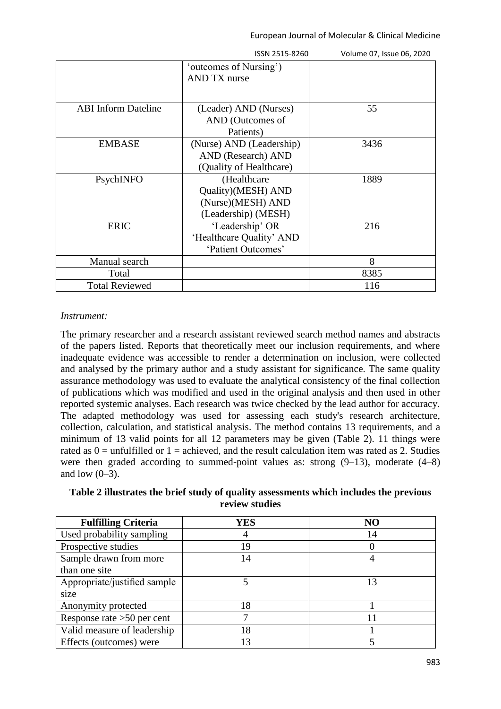|                            | ISSN 2515-8260           | Volume 07, Issue 06, 2020 |
|----------------------------|--------------------------|---------------------------|
|                            | 'outcomes of Nursing')   |                           |
|                            | <b>AND TX nurse</b>      |                           |
|                            |                          |                           |
| <b>ABI</b> Inform Dateline | (Leader) AND (Nurses)    | 55                        |
|                            | AND (Outcomes of         |                           |
|                            | Patients)                |                           |
| <b>EMBASE</b>              | (Nurse) AND (Leadership) | 3436                      |
|                            | AND (Research) AND       |                           |
|                            | (Quality of Healthcare)  |                           |
| PsychINFO                  | (Healthcare              | 1889                      |
|                            | Quality)(MESH) AND       |                           |
|                            | (Nurse)(MESH) AND        |                           |
|                            | (Leadership) (MESH)      |                           |
| <b>ERIC</b>                | 'Leadership' OR          | 216                       |
|                            | 'Healthcare Quality' AND |                           |
|                            | 'Patient Outcomes'       |                           |
| Manual search              |                          | 8                         |
| Total                      |                          | 8385                      |
| <b>Total Reviewed</b>      |                          | 116                       |

### *Instrument:*

The primary researcher and a research assistant reviewed search method names and abstracts of the papers listed. Reports that theoretically meet our inclusion requirements, and where inadequate evidence was accessible to render a determination on inclusion, were collected and analysed by the primary author and a study assistant for significance. The same quality assurance methodology was used to evaluate the analytical consistency of the final collection of publications which was modified and used in the original analysis and then used in other reported systemic analyses. Each research was twice checked by the lead author for accuracy. The adapted methodology was used for assessing each study's research architecture, collection, calculation, and statistical analysis. The method contains 13 requirements, and a minimum of 13 valid points for all 12 parameters may be given (Table 2). 11 things were rated as  $0 =$  unfulfilled or  $1 =$  achieved, and the result calculation item was rated as 2. Studies were then graded according to summed-point values as: strong (9–13), moderate (4–8) and low  $(0-3)$ .

| <b>Fulfilling Criteria</b>   | YES | NO |
|------------------------------|-----|----|
| Used probability sampling    |     | 14 |
| Prospective studies          | 19  |    |
| Sample drawn from more       | 14  |    |
| than one site                |     |    |
| Appropriate/justified sample |     | 13 |
| size                         |     |    |
| Anonymity protected          | 18  |    |
| Response rate $>50$ per cent |     |    |
| Valid measure of leadership  | 18  |    |
| Effects (outcomes) were      |     |    |

**Table 2 illustrates the brief study of quality assessments which includes the previous review studies**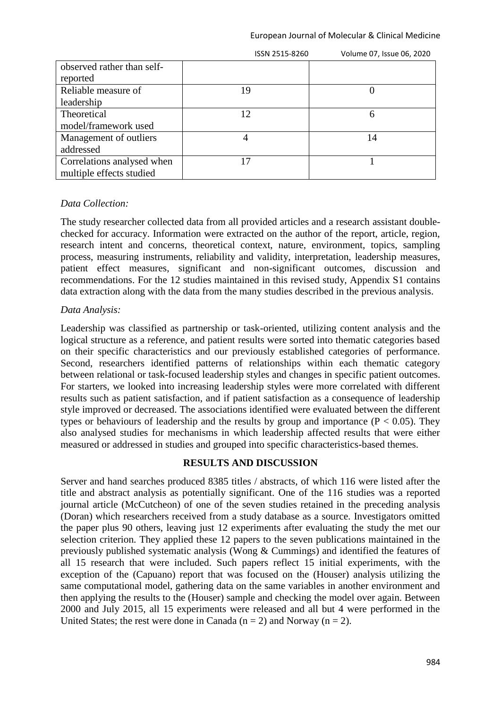|                            | ISSN 2515-8260  | Volume 07, Issue 06, 2020 |
|----------------------------|-----------------|---------------------------|
| observed rather than self- |                 |                           |
| reported                   |                 |                           |
| Reliable measure of        | 19              |                           |
| leadership                 |                 |                           |
| Theoretical                | 12 <sup>2</sup> | 6                         |
| model/framework used       |                 |                           |
| Management of outliers     |                 | 14                        |
| addressed                  |                 |                           |
| Correlations analysed when | 17              |                           |
| multiple effects studied   |                 |                           |

#### *Data Collection:*

The study researcher collected data from all provided articles and a research assistant doublechecked for accuracy. Information were extracted on the author of the report, article, region, research intent and concerns, theoretical context, nature, environment, topics, sampling process, measuring instruments, reliability and validity, interpretation, leadership measures, patient effect measures, significant and non-significant outcomes, discussion and recommendations. For the 12 studies maintained in this revised study, Appendix S1 contains data extraction along with the data from the many studies described in the previous analysis.

#### *Data Analysis:*

Leadership was classified as partnership or task-oriented, utilizing content analysis and the logical structure as a reference, and patient results were sorted into thematic categories based on their specific characteristics and our previously established categories of performance. Second, researchers identified patterns of relationships within each thematic category between relational or task-focused leadership styles and changes in specific patient outcomes. For starters, we looked into increasing leadership styles were more correlated with different results such as patient satisfaction, and if patient satisfaction as a consequence of leadership style improved or decreased. The associations identified were evaluated between the different types or behaviours of leadership and the results by group and importance ( $P < 0.05$ ). They also analysed studies for mechanisms in which leadership affected results that were either measured or addressed in studies and grouped into specific characteristics-based themes.

#### **RESULTS AND DISCUSSION**

Server and hand searches produced 8385 titles / abstracts, of which 116 were listed after the title and abstract analysis as potentially significant. One of the 116 studies was a reported journal article (McCutcheon) of one of the seven studies retained in the preceding analysis (Doran) which researchers received from a study database as a source. Investigators omitted the paper plus 90 others, leaving just 12 experiments after evaluating the study the met our selection criterion. They applied these 12 papers to the seven publications maintained in the previously published systematic analysis (Wong & Cummings) and identified the features of all 15 research that were included. Such papers reflect 15 initial experiments, with the exception of the (Capuano) report that was focused on the (Houser) analysis utilizing the same computational model, gathering data on the same variables in another environment and then applying the results to the (Houser) sample and checking the model over again. Between 2000 and July 2015, all 15 experiments were released and all but 4 were performed in the United States; the rest were done in Canada  $(n = 2)$  and Norway  $(n = 2)$ .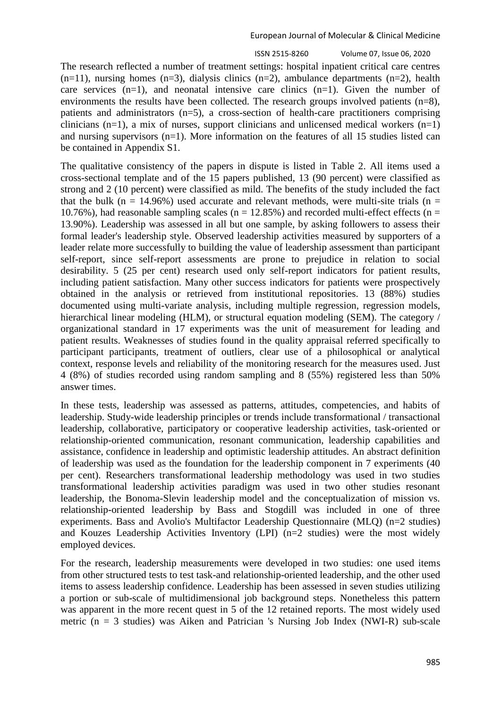The research reflected a number of treatment settings: hospital inpatient critical care centres  $(n=11)$ , nursing homes  $(n=3)$ , dialysis clinics  $(n=2)$ , ambulance departments  $(n=2)$ , health care services  $(n=1)$ , and neonatal intensive care clinics  $(n=1)$ . Given the number of environments the results have been collected. The research groups involved patients (n=8), patients and administrators (n=5), a cross-section of health-care practitioners comprising clinicians (n=1), a mix of nurses, support clinicians and unlicensed medical workers  $(n=1)$ and nursing supervisors (n=1). More information on the features of all 15 studies listed can be contained in Appendix S1.

The qualitative consistency of the papers in dispute is listed in Table 2. All items used a cross-sectional template and of the 15 papers published, 13 (90 percent) were classified as strong and 2 (10 percent) were classified as mild. The benefits of the study included the fact that the bulk (n = 14.96%) used accurate and relevant methods, were multi-site trials (n = 10.76%), had reasonable sampling scales ( $n = 12.85%$ ) and recorded multi-effect effects ( $n =$ 13.90%). Leadership was assessed in all but one sample, by asking followers to assess their formal leader's leadership style. Observed leadership activities measured by supporters of a leader relate more successfully to building the value of leadership assessment than participant self-report, since self-report assessments are prone to prejudice in relation to social desirability. 5 (25 per cent) research used only self-report indicators for patient results, including patient satisfaction. Many other success indicators for patients were prospectively obtained in the analysis or retrieved from institutional repositories. 13 (88%) studies documented using multi-variate analysis, including multiple regression, regression models, hierarchical linear modeling (HLM), or structural equation modeling (SEM). The category / organizational standard in 17 experiments was the unit of measurement for leading and patient results. Weaknesses of studies found in the quality appraisal referred specifically to participant participants, treatment of outliers, clear use of a philosophical or analytical context, response levels and reliability of the monitoring research for the measures used. Just 4 (8%) of studies recorded using random sampling and 8 (55%) registered less than 50% answer times.

In these tests, leadership was assessed as patterns, attitudes, competencies, and habits of leadership. Study-wide leadership principles or trends include transformational / transactional leadership, collaborative, participatory or cooperative leadership activities, task-oriented or relationship-oriented communication, resonant communication, leadership capabilities and assistance, confidence in leadership and optimistic leadership attitudes. An abstract definition of leadership was used as the foundation for the leadership component in 7 experiments (40 per cent). Researchers transformational leadership methodology was used in two studies transformational leadership activities paradigm was used in two other studies resonant leadership, the Bonoma-Slevin leadership model and the conceptualization of mission vs. relationship-oriented leadership by Bass and Stogdill was included in one of three experiments. Bass and Avolio's Multifactor Leadership Questionnaire (MLQ) (n=2 studies) and Kouzes Leadership Activities Inventory (LPI) (n=2 studies) were the most widely employed devices.

For the research, leadership measurements were developed in two studies: one used items from other structured tests to test task-and relationship-oriented leadership, and the other used items to assess leadership confidence. Leadership has been assessed in seven studies utilizing a portion or sub-scale of multidimensional job background steps. Nonetheless this pattern was apparent in the more recent quest in 5 of the 12 retained reports. The most widely used metric ( $n = 3$  studies) was Aiken and Patrician 's Nursing Job Index (NWI-R) sub-scale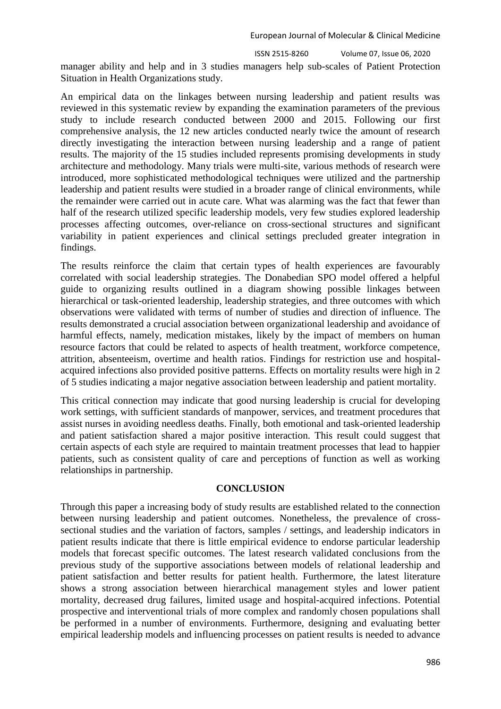manager ability and help and in 3 studies managers help sub-scales of Patient Protection Situation in Health Organizations study.

An empirical data on the linkages between nursing leadership and patient results was reviewed in this systematic review by expanding the examination parameters of the previous study to include research conducted between 2000 and 2015. Following our first comprehensive analysis, the 12 new articles conducted nearly twice the amount of research directly investigating the interaction between nursing leadership and a range of patient results. The majority of the 15 studies included represents promising developments in study architecture and methodology. Many trials were multi-site, various methods of research were introduced, more sophisticated methodological techniques were utilized and the partnership leadership and patient results were studied in a broader range of clinical environments, while the remainder were carried out in acute care. What was alarming was the fact that fewer than half of the research utilized specific leadership models, very few studies explored leadership processes affecting outcomes, over-reliance on cross-sectional structures and significant variability in patient experiences and clinical settings precluded greater integration in findings.

The results reinforce the claim that certain types of health experiences are favourably correlated with social leadership strategies. The Donabedian SPO model offered a helpful guide to organizing results outlined in a diagram showing possible linkages between hierarchical or task-oriented leadership, leadership strategies, and three outcomes with which observations were validated with terms of number of studies and direction of influence. The results demonstrated a crucial association between organizational leadership and avoidance of harmful effects, namely, medication mistakes, likely by the impact of members on human resource factors that could be related to aspects of health treatment, workforce competence, attrition, absenteeism, overtime and health ratios. Findings for restriction use and hospitalacquired infections also provided positive patterns. Effects on mortality results were high in 2 of 5 studies indicating a major negative association between leadership and patient mortality.

This critical connection may indicate that good nursing leadership is crucial for developing work settings, with sufficient standards of manpower, services, and treatment procedures that assist nurses in avoiding needless deaths. Finally, both emotional and task-oriented leadership and patient satisfaction shared a major positive interaction. This result could suggest that certain aspects of each style are required to maintain treatment processes that lead to happier patients, such as consistent quality of care and perceptions of function as well as working relationships in partnership.

## **CONCLUSION**

Through this paper a increasing body of study results are established related to the connection between nursing leadership and patient outcomes. Nonetheless, the prevalence of crosssectional studies and the variation of factors, samples / settings, and leadership indicators in patient results indicate that there is little empirical evidence to endorse particular leadership models that forecast specific outcomes. The latest research validated conclusions from the previous study of the supportive associations between models of relational leadership and patient satisfaction and better results for patient health. Furthermore, the latest literature shows a strong association between hierarchical management styles and lower patient mortality, decreased drug failures, limited usage and hospital-acquired infections. Potential prospective and interventional trials of more complex and randomly chosen populations shall be performed in a number of environments. Furthermore, designing and evaluating better empirical leadership models and influencing processes on patient results is needed to advance